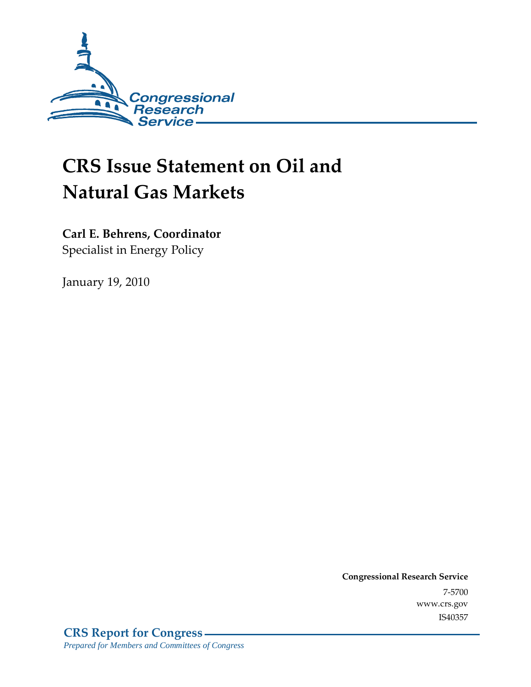

# **CRS Issue Statement on Oil and Natural Gas Markets**

**Carl E. Behrens, Coordinator**  Specialist in Energy Policy

January 19, 2010

**Congressional Research Service** 7-5700 www.crs.gov IS40357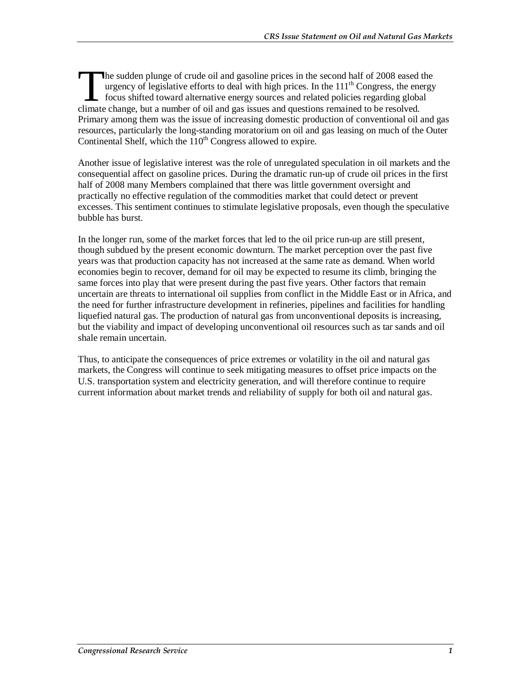he sudden plunge of crude oil and gasoline prices in the second half of 2008 eased the urgency of legislative efforts to deal with high prices. In the  $111<sup>th</sup>$  Congress, the energy focus shifted toward alternative energy sources and related policies regarding global The sudden plunge of crude oil and gasoline prices in the second half of 2008 eased turgency of legislative efforts to deal with high prices. In the 111<sup>th</sup> Congress, the energies focus shifted toward alternative energy so Primary among them was the issue of increasing domestic production of conventional oil and gas resources, particularly the long-standing moratorium on oil and gas leasing on much of the Outer Continental Shelf, which the  $110<sup>th</sup>$  Congress allowed to expire.

Another issue of legislative interest was the role of unregulated speculation in oil markets and the consequential affect on gasoline prices. During the dramatic run-up of crude oil prices in the first half of 2008 many Members complained that there was little government oversight and practically no effective regulation of the commodities market that could detect or prevent excesses. This sentiment continues to stimulate legislative proposals, even though the speculative bubble has burst.

In the longer run, some of the market forces that led to the oil price run-up are still present, though subdued by the present economic downturn. The market perception over the past five years was that production capacity has not increased at the same rate as demand. When world economies begin to recover, demand for oil may be expected to resume its climb, bringing the same forces into play that were present during the past five years. Other factors that remain uncertain are threats to international oil supplies from conflict in the Middle East or in Africa, and the need for further infrastructure development in refineries, pipelines and facilities for handling liquefied natural gas. The production of natural gas from unconventional deposits is increasing, but the viability and impact of developing unconventional oil resources such as tar sands and oil shale remain uncertain.

Thus, to anticipate the consequences of price extremes or volatility in the oil and natural gas markets, the Congress will continue to seek mitigating measures to offset price impacts on the U.S. transportation system and electricity generation, and will therefore continue to require current information about market trends and reliability of supply for both oil and natural gas.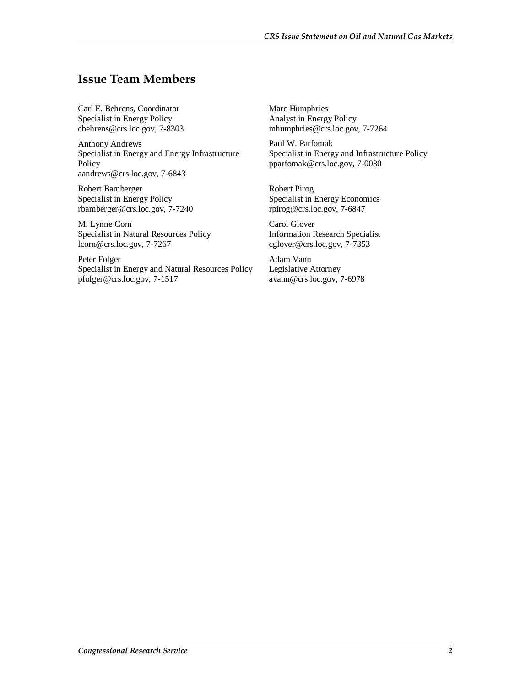## **Issue Team Members**

Carl E. Behrens, Coordinator Specialist in Energy Policy cbehrens@crs.loc.gov, 7-8303

Anthony Andrews Specialist in Energy and Energy Infrastructure Policy aandrews@crs.loc.gov, 7-6843

Robert Bamberger Specialist in Energy Policy rbamberger@crs.loc.gov, 7-7240

M. Lynne Corn Specialist in Natural Resources Policy lcorn@crs.loc.gov, 7-7267

Peter Folger Specialist in Energy and Natural Resources Policy pfolger@crs.loc.gov, 7-1517

Marc Humphries Analyst in Energy Policy mhumphries@crs.loc.gov, 7-7264

Paul W. Parfomak Specialist in Energy and Infrastructure Policy pparfomak@crs.loc.gov, 7-0030

Robert Pirog Specialist in Energy Economics rpirog@crs.loc.gov, 7-6847

Carol Glover Information Research Specialist cglover@crs.loc.gov, 7-7353

Adam Vann Legislative Attorney avann@crs.loc.gov, 7-6978